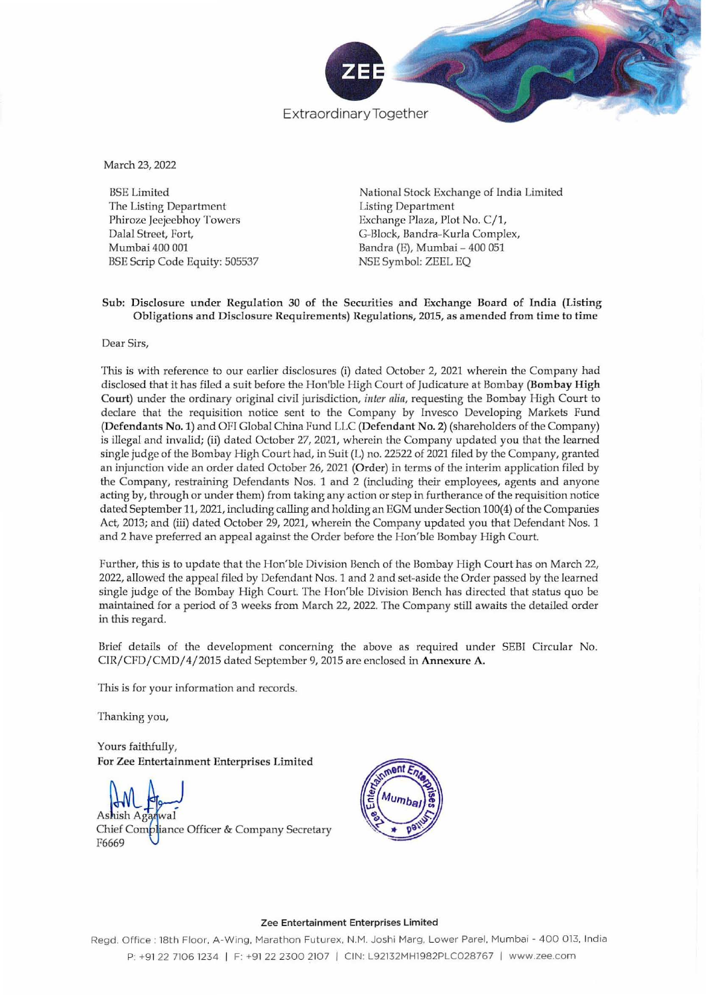

Extraordinary Together

March 23, 2022

BSE Limited The Listing Department **Phiroze Jeejeebhoy Towers** Dalal Street, Fort, Mumbai 400 001 BSE Scrip Code Equity: 505537

National Stock Exchange of India Limited **Listing Department** Exchange Plaza, Plot No. C/1, G-Block, Bandra-Kurla Complex, Bandra (E), Mumbai - 400 051 NSE Sym bol: ZEEL EQ

# **Sub: Disclosure under Regulation 30 of the Securities and Exchange Board of India (Listing Obligations and Disclosure Requirements) Regulations, 2015, as amended from time to time**

**Dear Sirs,** 

**This is with reference to our carlier disclosures (i) dated October 2, 2021 wherein the Company had**  disclosed that it has filed a suit before the Hon'ble High Court of Judicature at Bombay (Bombay High Court) under the ordinary original civil jurisdiction, *inter alia*, requesting the Bombay High Court to **declare that the requisition notice sent to the Company by Invesco Developing Markets Fund**  (Defendants No.1) and OF! Global China Fund LLC (Defendant No.2) (shareholders of the Company) is illegal and invalid; (ii) dated October 27, 2021, wherein the Company updated you that the learned single judge of the Bombay High Court had, in Suit (L) no. 22522 of 2021 filed by the Company, granted an injunction vide an order dated October 26, 2021 (Order) in terms of the interim application filed by **the Company, restraining Defendants Nos. 1 and 2 (including their employees, agents and anyone acting by, through or under them) from taking any action or step in furtherance of the requisition notice**  dated September 11, 2021, including calling and holding an EGM under Section 100(4) of the Companies Act, 2013; and (iii) dated October 29, 2021, wherein the Company updated you that Defendant Nos. 1 and 2 have preferred an appeal against the Order before the Hon'ble Bombay High Court.

Further, this is to update that the Hon'ble Division Bench of the Bombay High Court has on March 22, 2022, allowed the appeal filed by Defendant Nos. 1 and 2 and set·aside the Order passed by the learned single judge of the Bombay High Court. The Hon'ble Division Bench has directed that status quo be **maintained for a period of 3 weeks from March 22, 2022. The Company still awaits the detailed order in this regard.** 

**Brief details of the development concerning the above as required under SEBI Circular No.**  *CIR/CFD/CMD/4/2015* dated September 9, 2015 are enclosed in Annexure A.

**This is for your information and records.** 

Thanking you,

Yours faithfully, **For Zee Entertainment Enterprises Limited** 

Ashish Agadwal<br>Chief Compliance Officer & Company Secretary F6669



#### **Zee Entertainment Enterprises Limited**

**Regd. Office: 18 th Floor, A-Wing, Marathon Futurex, N.M. Joshi Marg, Lower Parel, Mumba i - 4 00 013, India**  P: +91 22 7106 1234 | F: +91 22 2300 2107 | CIN: L92132MH1982PLC028767 | www.zee.com